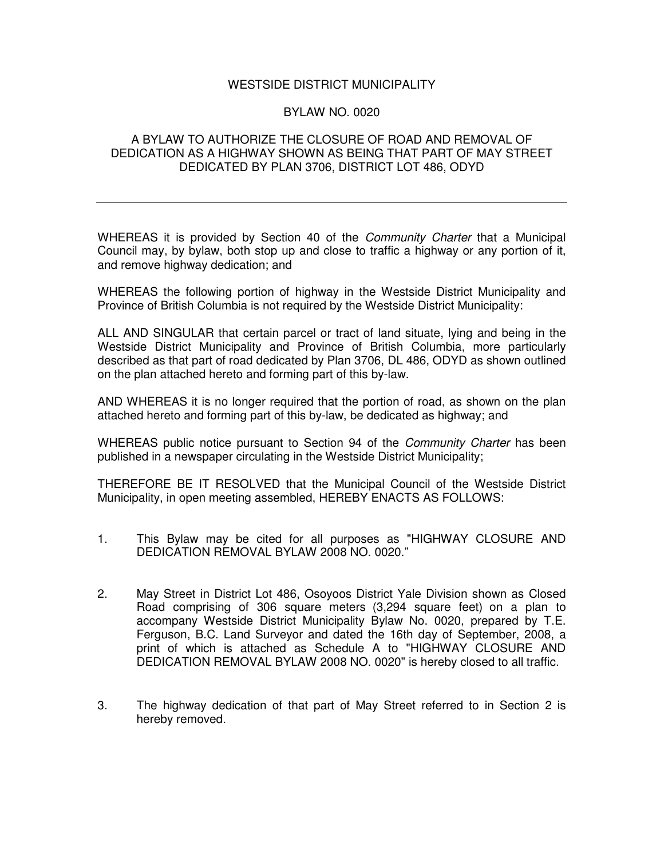## WESTSIDE DISTRICT MUNICIPALITY

## BYLAW NO. 0020

## A BYLAW TO AUTHORIZE THE CLOSURE OF ROAD AND REMOVAL OF DEDICATION AS A HIGHWAY SHOWN AS BEING THAT PART OF MAY STREET DEDICATED BY PLAN 3706, DISTRICT LOT 486, ODYD

WHEREAS it is provided by Section 40 of the *Community Charter* that a Municipal Council may, by bylaw, both stop up and close to traffic a highway or any portion of it, and remove highway dedication; and

WHEREAS the following portion of highway in the Westside District Municipality and Province of British Columbia is not required by the Westside District Municipality:

ALL AND SINGULAR that certain parcel or tract of land situate, lying and being in the Westside District Municipality and Province of British Columbia, more particularly described as that part of road dedicated by Plan 3706, DL 486, ODYD as shown outlined on the plan attached hereto and forming part of this by-law.

AND WHEREAS it is no longer required that the portion of road, as shown on the plan attached hereto and forming part of this by-law, be dedicated as highway; and

WHEREAS public notice pursuant to Section 94 of the *Community Charter* has been published in a newspaper circulating in the Westside District Municipality;

THEREFORE BE IT RESOLVED that the Municipal Council of the Westside District Municipality, in open meeting assembled, HEREBY ENACTS AS FOLLOWS:

- 1. This Bylaw may be cited for all purposes as "HIGHWAY CLOSURE AND DEDICATION REMOVAL BYLAW 2008 NO. 0020."
- 2. May Street in District Lot 486, Osoyoos District Yale Division shown as Closed Road comprising of 306 square meters (3,294 square feet) on a plan to accompany Westside District Municipality Bylaw No. 0020, prepared by T.E. Ferguson, B.C. Land Surveyor and dated the 16th day of September, 2008, a print of which is attached as Schedule A to "HIGHWAY CLOSURE AND DEDICATION REMOVAL BYLAW 2008 NO. 0020" is hereby closed to all traffic.
- 3. The highway dedication of that part of May Street referred to in Section 2 is hereby removed.